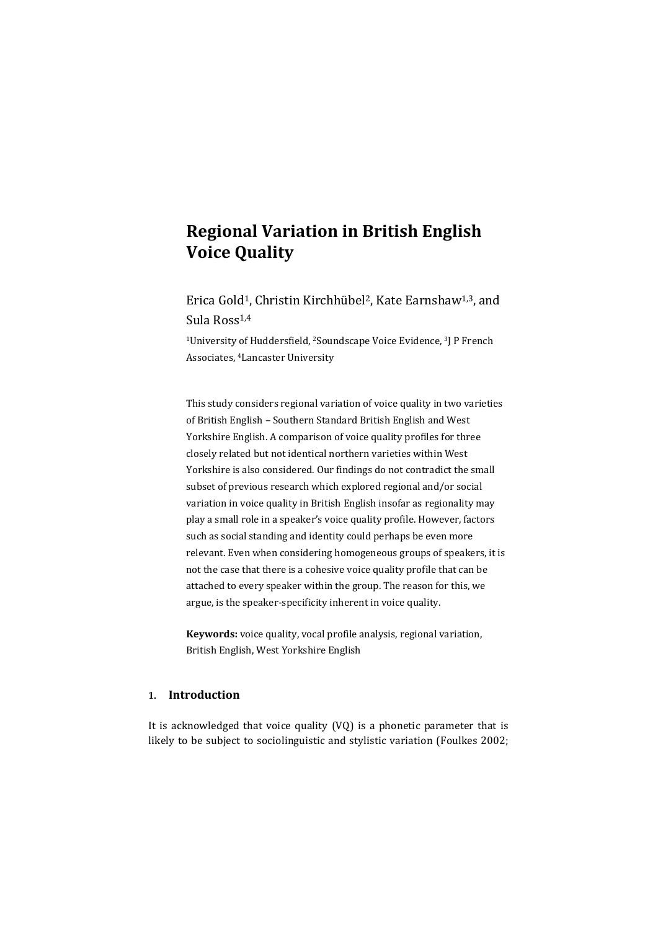# **Regional Variation in British English Voice Quality**

Erica Gold1, Christin Kirchhübel2, Kate Earnshaw1,3, and Sula Ross1,4

<sup>1</sup>University of Huddersfield, <sup>2</sup>Soundscape Voice Evidence, <sup>3</sup>J P French Associates, <sup>4</sup>Lancaster University

This study considers regional variation of voice quality in two varieties of British English – Southern Standard British English and West Yorkshire English. A comparison of voice quality profiles for three closely related but not identical northern varieties within West Yorkshire is also considered. Our findings do not contradict the small subset of previous research which explored regional and/or social variation in voice quality in British English insofar as regionality may play a small role in a speaker's voice quality profile. However, factors such as social standing and identity could perhaps be even more relevant. Even when considering homogeneous groups of speakers, it is not the case that there is a cohesive voice quality profile that can be attached to every speaker within the group. The reason for this, we argue, is the speaker-specificity inherent in voice quality.

**Keywords:** voice quality, vocal profile analysis, regional variation, British English, West Yorkshire English

# **1. Introduction**

It is acknowledged that voice quality (VQ) is a phonetic parameter that is likely to be subject to sociolinguistic and stylistic variation (Foulkes 2002;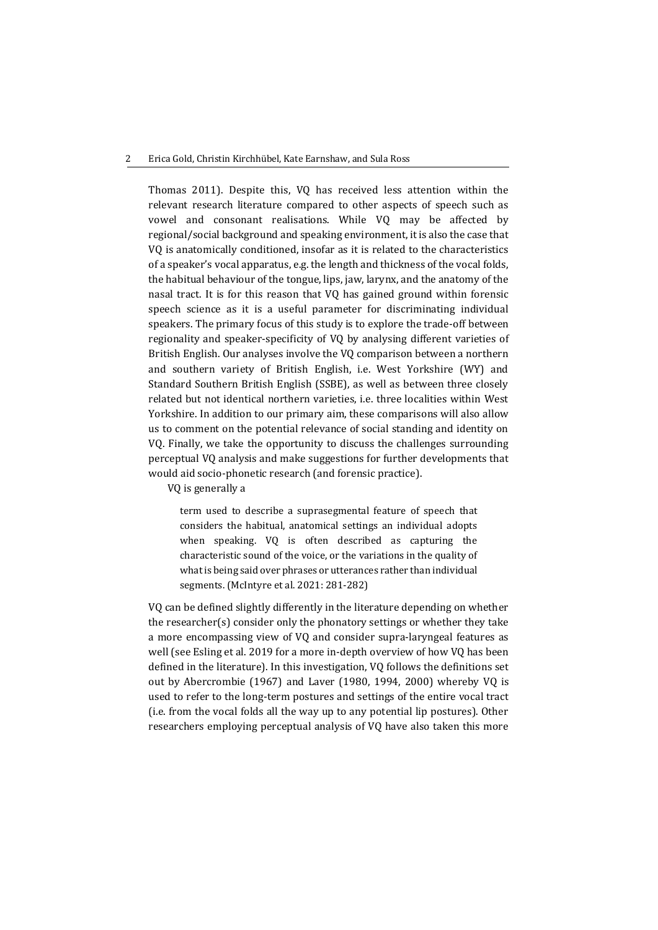#### 2 Erica Gold, Christin Kirchhübel, Kate Earnshaw, and Sula Ross

Thomas 2011). Despite this, VQ has received less attention within the relevant research literature compared to other aspects of speech such as vowel and consonant realisations. While VQ may be affected by regional/social background and speaking environment, it is also the case that VQ is anatomically conditioned, insofar as it is related to the characteristics of a speaker's vocal apparatus, e.g. the length and thickness of the vocal folds, the habitual behaviour of the tongue, lips, jaw, larynx, and the anatomy of the nasal tract. It is for this reason that VQ has gained ground within forensic speech science as it is a useful parameter for discriminating individual speakers. The primary focus of this study is to explore the trade-off between regionality and speaker-specificity of VQ by analysing different varieties of British English. Our analyses involve the VQ comparison between a northern and southern variety of British English, i.e. West Yorkshire (WY) and Standard Southern British English (SSBE), as well as between three closely related but not identical northern varieties, i.e. three localities within West Yorkshire. In addition to our primary aim, these comparisons will also allow us to comment on the potential relevance of social standing and identity on VQ. Finally, we take the opportunity to discuss the challenges surrounding perceptual VQ analysis and make suggestions for further developments that would aid socio-phonetic research (and forensic practice).

VQ is generally a

term used to describe a suprasegmental feature of speech that considers the habitual, anatomical settings an individual adopts when speaking. VQ is often described as capturing the characteristic sound of the voice, or the variations in the quality of what is being said over phrases or utterances rather than individual segments. (McIntyre et al. 2021: 281-282)

VQ can be defined slightly differently in the literature depending on whether the researcher(s) consider only the phonatory settings or whether they take a more encompassing view of VQ and consider supra-laryngeal features as well (see Esling et al. 2019 for a more in-depth overview of how VQ has been defined in the literature). In this investigation, VQ follows the definitions set out by Abercrombie (1967) and Laver (1980, 1994, 2000) whereby VQ is used to refer to the long-term postures and settings of the entire vocal tract (i.e. from the vocal folds all the way up to any potential lip postures). Other researchers employing perceptual analysis of VQ have also taken this more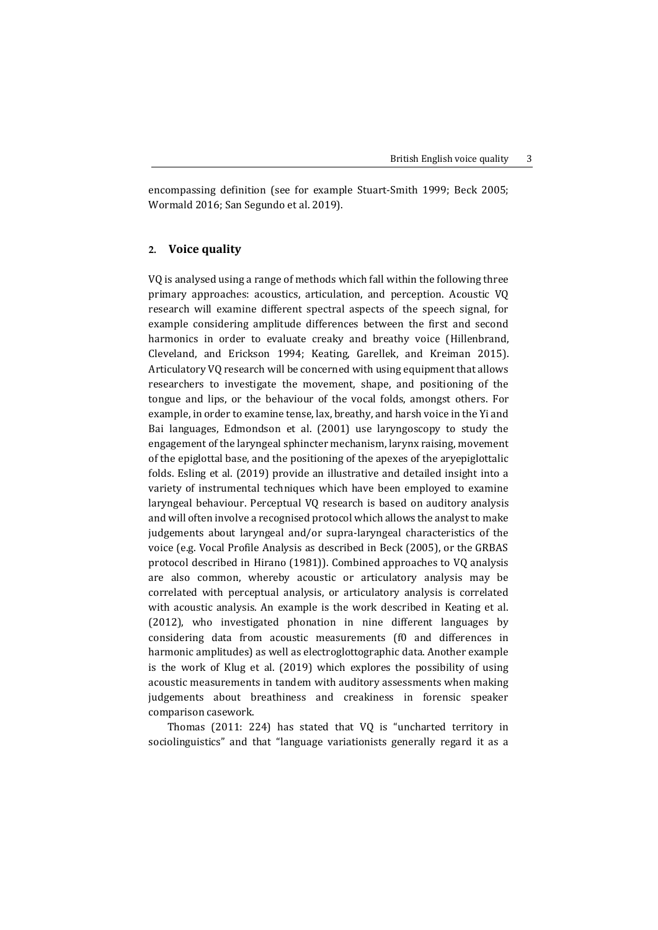encompassing definition (see for example Stuart-Smith 1999; Beck 2005; Wormald 2016; San Segundo et al. 2019).

# **2. Voice quality**

VQ is analysed using a range of methods which fall within the following three primary approaches: acoustics, articulation, and perception. Acoustic VQ research will examine different spectral aspects of the speech signal, for example considering amplitude differences between the first and second harmonics in order to evaluate creaky and breathy voice (Hillenbrand, Cleveland, and Erickson 1994; Keating, Garellek, and Kreiman 2015). Articulatory VQ research will be concerned with using equipment that allows researchers to investigate the movement, shape, and positioning of the tongue and lips, or the behaviour of the vocal folds, amongst others. For example, in order to examine tense, lax, breathy, and harsh voice in the Yi and Bai languages, Edmondson et al. (2001) use laryngoscopy to study the engagement of the laryngeal sphincter mechanism, larynx raising, movement of the epiglottal base, and the positioning of the apexes of the aryepiglottalic folds. Esling et al. (2019) provide an illustrative and detailed insight into a variety of instrumental techniques which have been employed to examine laryngeal behaviour. Perceptual VQ research is based on auditory analysis and will often involve a recognised protocol which allows the analyst to make judgements about laryngeal and/or supra-laryngeal characteristics of the voice (e.g. Vocal Profile Analysis as described in Beck (2005), or the GRBAS protocol described in Hirano (1981)). Combined approaches to VQ analysis are also common, whereby acoustic or articulatory analysis may be correlated with perceptual analysis, or articulatory analysis is correlated with acoustic analysis. An example is the work described in Keating et al. (2012), who investigated phonation in nine different languages by considering data from acoustic measurements (f0 and differences in harmonic amplitudes) as well as electroglottographic data. Another example is the work of Klug et al. (2019) which explores the possibility of using acoustic measurements in tandem with auditory assessments when making judgements about breathiness and creakiness in forensic speaker comparison casework.

Thomas (2011: 224) has stated that VQ is "uncharted territory in sociolinguistics" and that "language variationists generally regard it as a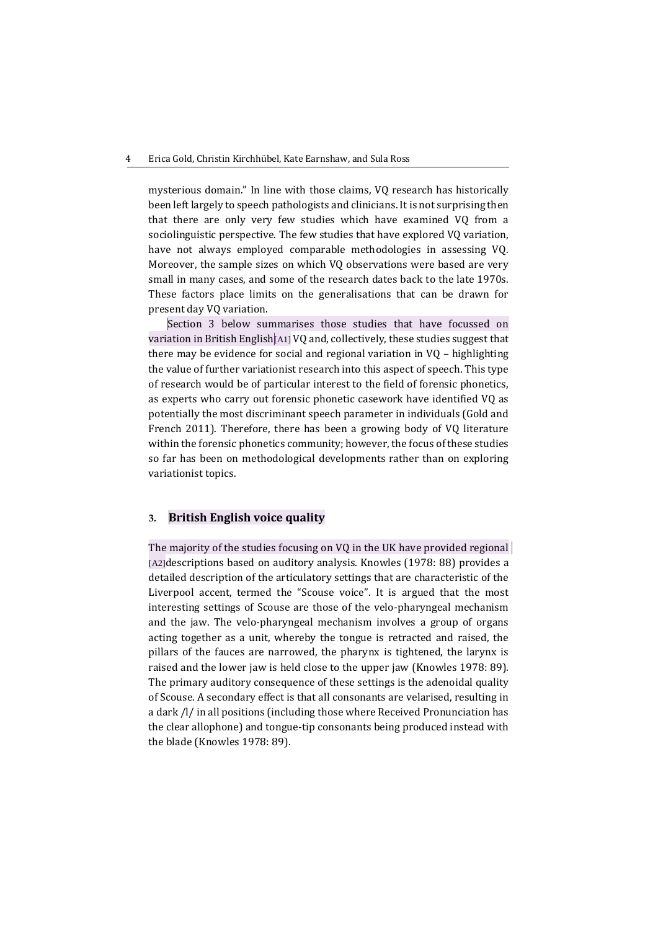mysterious domain." In line with those claims, VQ research has historically been left largely to speech pathologists and clinicians. It is not surprising then that there are only very few studies which have examined VQ from a sociolinguistic perspective. The few studies that have explored VQ variation, have not always employed comparable methodologies in assessing VQ. Moreover, the sample sizes on which VQ observations were based are very small in many cases, and some of the research dates back to the late 1970s. These factors place limits on the generalisations that can be drawn for present day VQ variation.

Section 3 below summarises those studies that have focussed on variation in British English[A1] VQ and, collectively, these studies suggest that there may be evidence for social and regional variation in VQ – highlighting the value of further variationist research into this aspect of speech. This type of research would be of particular interest to the field of forensic phonetics, as experts who carry out forensic phonetic casework have identified VQ as potentially the most discriminant speech parameter in individuals (Gold and French 2011). Therefore, there has been a growing body of VQ literature within the forensic phonetics community; however, the focus of these studies so far has been on methodological developments rather than on exploring variationist topics.

# **3. British English voice quality**

The majority of the studies focusing on VQ in the UK have provided regional [A2]descriptions based on auditory analysis. Knowles (1978: 88) provides a detailed description of the articulatory settings that are characteristic of the Liverpool accent, termed the "Scouse voice". It is argued that the most interesting settings of Scouse are those of the velo-pharyngeal mechanism and the jaw. The velo-pharyngeal mechanism involves a group of organs acting together as a unit, whereby the tongue is retracted and raised, the pillars of the fauces are narrowed, the pharynx is tightened, the larynx is raised and the lower jaw is held close to the upper jaw (Knowles 1978: 89). The primary auditory consequence of these settings is the adenoidal quality of Scouse. A secondary effect is that all consonants are velarised, resulting in a dark /l/ in all positions (including those where Received Pronunciation has the clear allophone) and tongue-tip consonants being produced instead with the blade (Knowles 1978: 89).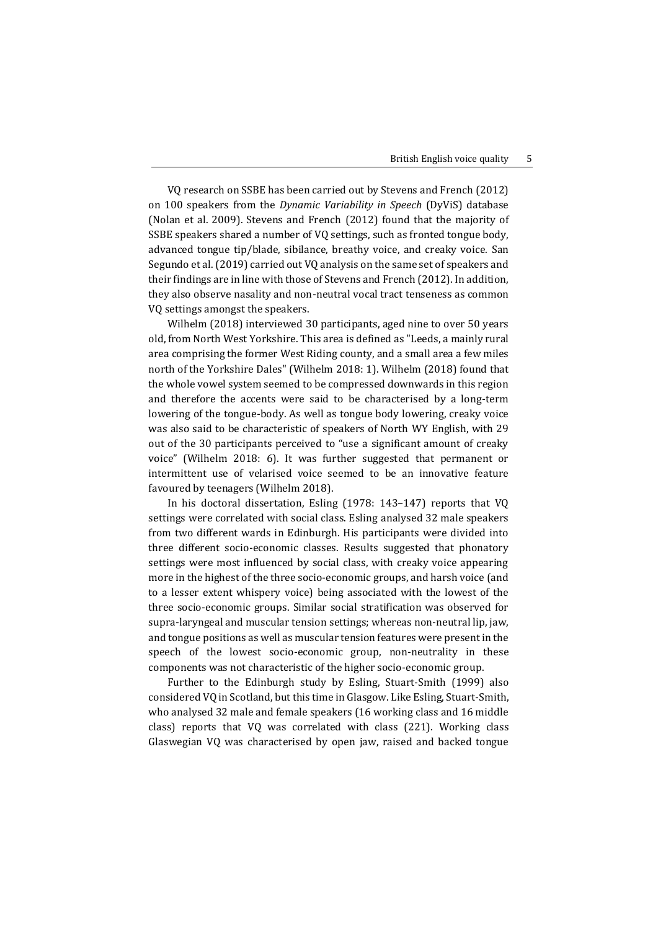VQ research on SSBE has been carried out by Stevens and French (2012) on 100 speakers from the *Dynamic Variability in Speech* (DyViS) database (Nolan et al. 2009). Stevens and French (2012) found that the majority of SSBE speakers shared a number of VQ settings, such as fronted tongue body, advanced tongue tip/blade, sibilance, breathy voice, and creaky voice. San Segundo et al. (2019) carried out VQ analysis on the same set of speakers and their findings are in line with those of Stevens and French (2012). In addition, they also observe nasality and non-neutral vocal tract tenseness as common VQ settings amongst the speakers.

Wilhelm (2018) interviewed 30 participants, aged nine to over 50 years old, from North West Yorkshire. This area is defined as "Leeds, a mainly rural area comprising the former West Riding county, and a small area a few miles north of the Yorkshire Dales" (Wilhelm 2018: 1). Wilhelm (2018) found that the whole vowel system seemed to be compressed downwards in this region and therefore the accents were said to be characterised by a long-term lowering of the tongue-body. As well as tongue body lowering, creaky voice was also said to be characteristic of speakers of North WY English, with 29 out of the 30 participants perceived to "use a significant amount of creaky voice" (Wilhelm 2018: 6). It was further suggested that permanent or intermittent use of velarised voice seemed to be an innovative feature favoured by teenagers (Wilhelm 2018).

In his doctoral dissertation, Esling (1978: 143–147) reports that VQ settings were correlated with social class. Esling analysed 32 male speakers from two different wards in Edinburgh. His participants were divided into three different socio-economic classes. Results suggested that phonatory settings were most influenced by social class, with creaky voice appearing more in the highest of the three socio-economic groups, and harsh voice (and to a lesser extent whispery voice) being associated with the lowest of the three socio-economic groups. Similar social stratification was observed for supra-laryngeal and muscular tension settings; whereas non-neutral lip, jaw, and tongue positions as well as muscular tension features were present in the speech of the lowest socio-economic group, non-neutrality in these components was not characteristic of the higher socio-economic group.

Further to the Edinburgh study by Esling, Stuart-Smith (1999) also considered VQ in Scotland, but this time in Glasgow. Like Esling, Stuart-Smith, who analysed 32 male and female speakers (16 working class and 16 middle class) reports that VQ was correlated with class (221). Working class Glaswegian VQ was characterised by open jaw, raised and backed tongue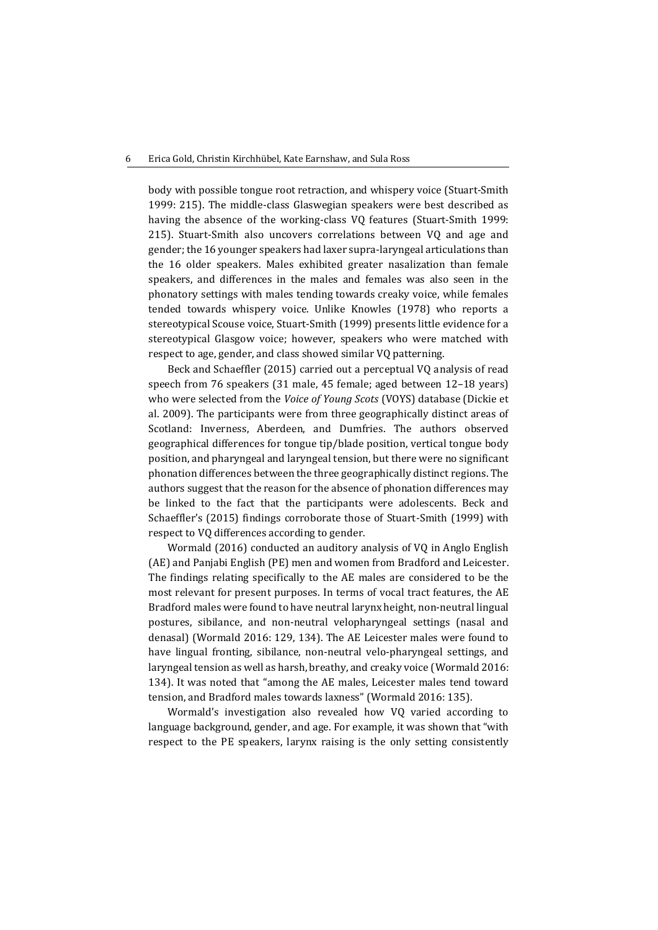body with possible tongue root retraction, and whispery voice (Stuart-Smith 1999: 215). The middle-class Glaswegian speakers were best described as having the absence of the working-class VQ features (Stuart-Smith 1999: 215). Stuart-Smith also uncovers correlations between VQ and age and gender; the 16 younger speakers had laxer supra-laryngeal articulations than the 16 older speakers. Males exhibited greater nasalization than female speakers, and differences in the males and females was also seen in the phonatory settings with males tending towards creaky voice, while females tended towards whispery voice. Unlike Knowles (1978) who reports a stereotypical Scouse voice, Stuart-Smith (1999) presents little evidence for a stereotypical Glasgow voice; however, speakers who were matched with respect to age, gender, and class showed similar VQ patterning.

Beck and Schaeffler (2015) carried out a perceptual VQ analysis of read speech from 76 speakers (31 male, 45 female; aged between 12–18 years) who were selected from the *Voice of Young Scots* (VOYS) database (Dickie et al. 2009). The participants were from three geographically distinct areas of Scotland: Inverness, Aberdeen, and Dumfries. The authors observed geographical differences for tongue tip/blade position, vertical tongue body position, and pharyngeal and laryngeal tension, but there were no significant phonation differences between the three geographically distinct regions. The authors suggest that the reason for the absence of phonation differences may be linked to the fact that the participants were adolescents. Beck and Schaeffler's (2015) findings corroborate those of Stuart-Smith (1999) with respect to VQ differences according to gender.

Wormald (2016) conducted an auditory analysis of VQ in Anglo English (AE) and Panjabi English (PE) men and women from Bradford and Leicester. The findings relating specifically to the AE males are considered to be the most relevant for present purposes. In terms of vocal tract features, the AE Bradford males were found to have neutral larynx height, non-neutral lingual postures, sibilance, and non-neutral velopharyngeal settings (nasal and denasal) (Wormald 2016: 129, 134). The AE Leicester males were found to have lingual fronting, sibilance, non-neutral velo-pharyngeal settings, and laryngeal tension as well as harsh, breathy, and creaky voice (Wormald 2016: 134). It was noted that "among the AE males, Leicester males tend toward tension, and Bradford males towards laxness" (Wormald 2016: 135).

Wormald's investigation also revealed how VQ varied according to language background, gender, and age. For example, it was shown that "with respect to the PE speakers, larynx raising is the only setting consistently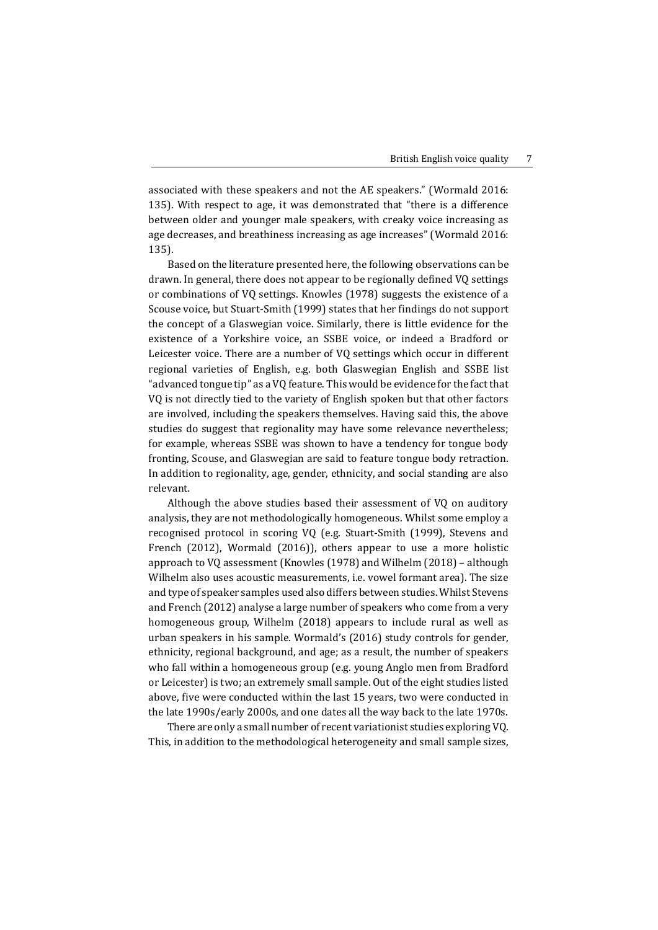associated with these speakers and not the AE speakers." (Wormald 2016: 135). With respect to age, it was demonstrated that "there is a difference between older and younger male speakers, with creaky voice increasing as age decreases, and breathiness increasing as age increases" (Wormald 2016: 135).

Based on the literature presented here, the following observations can be drawn. In general, there does not appear to be regionally defined VQ settings or combinations of VQ settings. Knowles (1978) suggests the existence of a Scouse voice, but Stuart-Smith (1999) states that her findings do not support the concept of a Glaswegian voice. Similarly, there is little evidence for the existence of a Yorkshire voice, an SSBE voice, or indeed a Bradford or Leicester voice. There are a number of VQ settings which occur in different regional varieties of English, e.g. both Glaswegian English and SSBE list "advanced tongue tip" as a VQ feature. This would be evidence for the fact that VQ is not directly tied to the variety of English spoken but that other factors are involved, including the speakers themselves. Having said this, the above studies do suggest that regionality may have some relevance nevertheless; for example, whereas SSBE was shown to have a tendency for tongue body fronting, Scouse, and Glaswegian are said to feature tongue body retraction. In addition to regionality, age, gender, ethnicity, and social standing are also relevant.

Although the above studies based their assessment of VQ on auditory analysis, they are not methodologically homogeneous. Whilst some employ a recognised protocol in scoring VQ (e.g. Stuart-Smith (1999), Stevens and French (2012), Wormald (2016)), others appear to use a more holistic approach to VQ assessment (Knowles (1978) and Wilhelm (2018) – although Wilhelm also uses acoustic measurements, i.e. vowel formant area). The size and type of speaker samples used also differs between studies. Whilst Stevens and French (2012) analyse a large number of speakers who come from a very homogeneous group, Wilhelm (2018) appears to include rural as well as urban speakers in his sample. Wormald's (2016) study controls for gender, ethnicity, regional background, and age; as a result, the number of speakers who fall within a homogeneous group (e.g. young Anglo men from Bradford or Leicester) is two; an extremely small sample. Out of the eight studies listed above, five were conducted within the last 15 years, two were conducted in the late 1990s/early 2000s, and one dates all the way back to the late 1970s.

There are only a small number of recent variationist studies exploring VQ. This, in addition to the methodological heterogeneity and small sample sizes,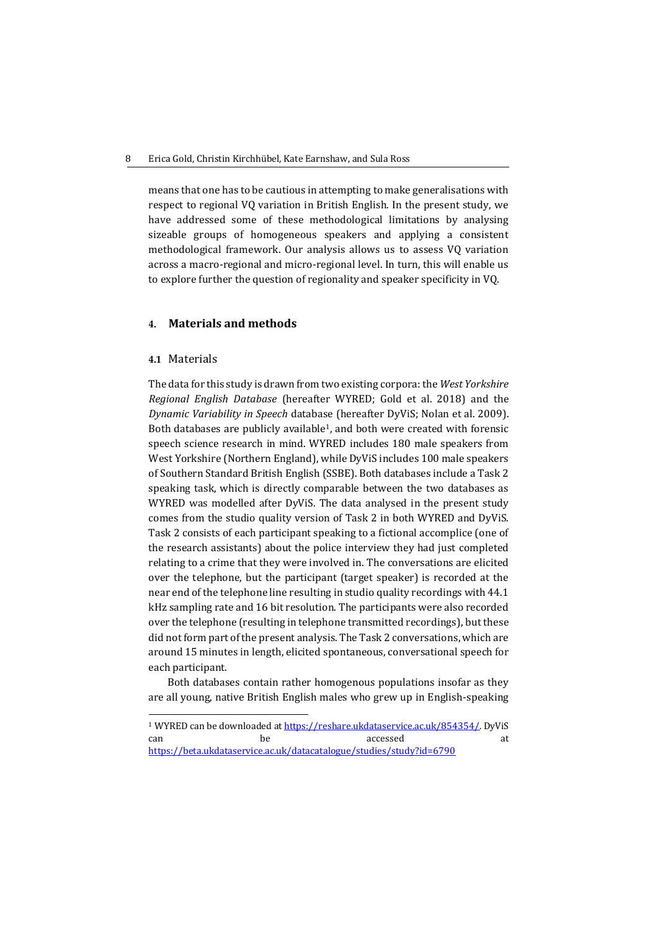means that one has to be cautious in attempting to make generalisations with respect to regional VQ variation in British English. In the present study, we have addressed some of these methodological limitations by analysing sizeable groups of homogeneous speakers and applying a consistent methodological framework. Our analysis allows us to assess VQ variation across a macro-regional and micro-regional level. In turn, this will enable us to explore further the question of regionality and speaker specificity in VQ.

# **4. Materials and methods**

#### **4.1** Materials

1

The data for this study is drawn from two existing corpora: the *West Yorkshire Regional English Database* (hereafter WYRED; Gold et al. 2018) and the *Dynamic Variability in Speech* database (hereafter DyViS; Nolan et al. 2009). Both databases are publicly available<sup>1</sup>, and both were created with forensic speech science research in mind. WYRED includes 180 male speakers from West Yorkshire (Northern England), while DyViS includes 100 male speakers of Southern Standard British English (SSBE). Both databases include a Task 2 speaking task, which is directly comparable between the two databases as WYRED was modelled after DyViS. The data analysed in the present study comes from the studio quality version of Task 2 in both WYRED and DyViS. Task 2 consists of each participant speaking to a fictional accomplice (one of the research assistants) about the police interview they had just completed relating to a crime that they were involved in. The conversations are elicited over the telephone, but the participant (target speaker) is recorded at the near end of the telephone line resulting in studio quality recordings with 44.1 kHz sampling rate and 16 bit resolution. The participants were also recorded over the telephone (resulting in telephone transmitted recordings), but these did not form part of the present analysis. The Task 2 conversations, which are around 15 minutes in length, elicited spontaneous, conversational speech for each participant.

Both databases contain rather homogenous populations insofar as they are all young, native British English males who grew up in English-speaking

<sup>1</sup> WYRED can be downloaded a[t https://reshare.ukdataservice.ac.uk/854354/.](https://reshare.ukdataservice.ac.uk/854354/) DyViS can be be accessed at <https://beta.ukdataservice.ac.uk/datacatalogue/studies/study?id=6790>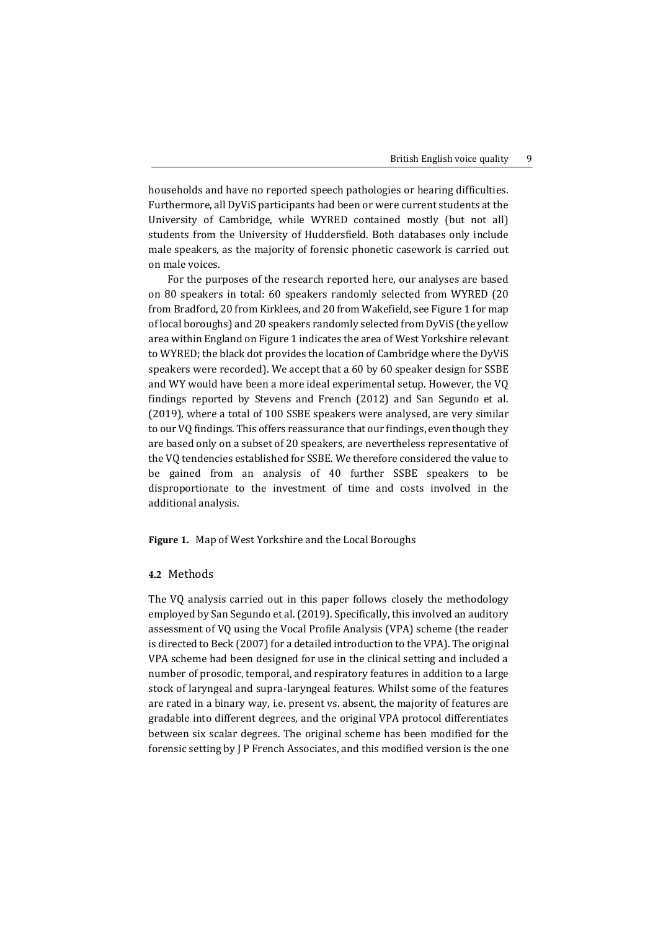households and have no reported speech pathologies or hearing difficulties. Furthermore, all DyViS participants had been or were current students at the University of Cambridge, while WYRED contained mostly (but not all) students from the University of Huddersfield. Both databases only include male speakers, as the majority of forensic phonetic casework is carried out on male voices.

For the purposes of the research reported here, our analyses are based on 80 speakers in total: 60 speakers randomly selected from WYRED (20 from Bradford, 20 from Kirklees, and 20 from Wakefield, see Figure 1 for map of local boroughs) and 20 speakers randomly selected from DyViS (the yellow area within England on Figure 1 indicates the area of West Yorkshire relevant to WYRED; the black dot provides the location of Cambridge where the DyViS speakers were recorded). We accept that a 60 by 60 speaker design for SSBE and WY would have been a more ideal experimental setup. However, the VQ findings reported by Stevens and French (2012) and San Segundo et al. (2019), where a total of 100 SSBE speakers were analysed, are very similar to our VQ findings. This offers reassurance that our findings, even though they are based only on a subset of 20 speakers, are nevertheless representative of the VQ tendencies established for SSBE. We therefore considered the value to be gained from an analysis of 40 further SSBE speakers to be disproportionate to the investment of time and costs involved in the additional analysis.

**Figure 1.** Map of West Yorkshire and the Local Boroughs

#### **4.2** Methods

The VQ analysis carried out in this paper follows closely the methodology employed by San Segundo et al. (2019). Specifically, this involved an auditory assessment of VQ using the Vocal Profile Analysis (VPA) scheme (the reader is directed to Beck (2007) for a detailed introduction to the VPA). The original VPA scheme had been designed for use in the clinical setting and included a number of prosodic, temporal, and respiratory features in addition to a large stock of laryngeal and supra-laryngeal features. Whilst some of the features are rated in a binary way, i.e. present vs. absent, the majority of features are gradable into different degrees, and the original VPA protocol differentiates between six scalar degrees. The original scheme has been modified for the forensic setting by J P French Associates, and this modified version is the one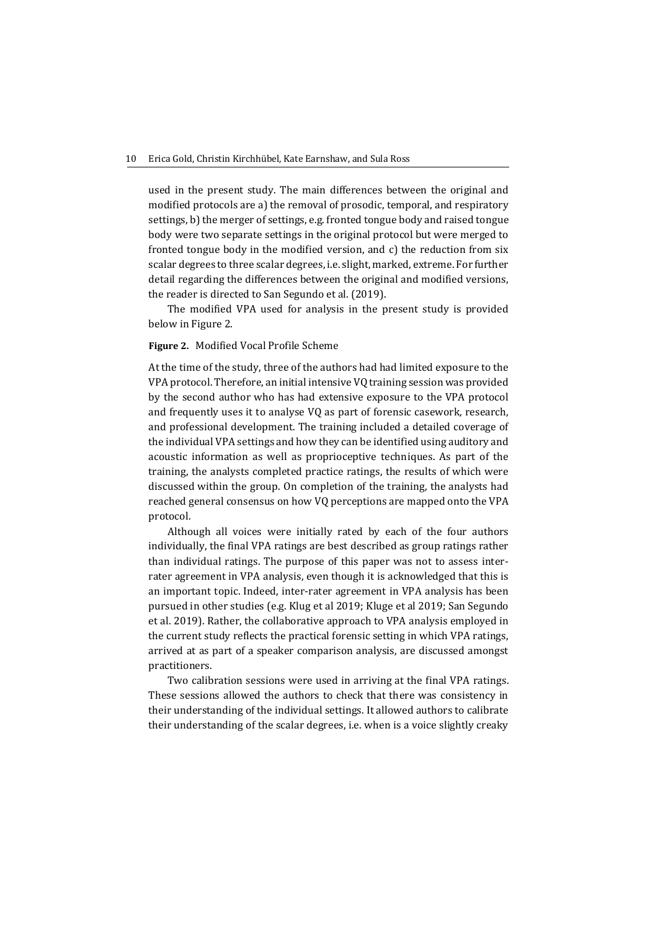used in the present study. The main differences between the original and modified protocols are a) the removal of prosodic, temporal, and respiratory settings, b) the merger of settings, e.g. fronted tongue body and raised tongue body were two separate settings in the original protocol but were merged to fronted tongue body in the modified version, and c) the reduction from six scalar degrees to three scalar degrees, i.e. slight, marked, extreme. For further detail regarding the differences between the original and modified versions, the reader is directed to San Segundo et al. (2019).

The modified VPA used for analysis in the present study is provided below in Figure 2.

### **Figure 2.** Modified Vocal Profile Scheme

At the time of the study, three of the authors had had limited exposure to the VPA protocol. Therefore, an initial intensive VQ training session was provided by the second author who has had extensive exposure to the VPA protocol and frequently uses it to analyse VQ as part of forensic casework, research, and professional development. The training included a detailed coverage of the individual VPA settings and how they can be identified using auditory and acoustic information as well as proprioceptive techniques. As part of the training, the analysts completed practice ratings, the results of which were discussed within the group. On completion of the training, the analysts had reached general consensus on how VQ perceptions are mapped onto the VPA protocol.

Although all voices were initially rated by each of the four authors individually, the final VPA ratings are best described as group ratings rather than individual ratings. The purpose of this paper was not to assess interrater agreement in VPA analysis, even though it is acknowledged that this is an important topic. Indeed, inter-rater agreement in VPA analysis has been pursued in other studies (e.g. Klug et al 2019; Kluge et al 2019; San Segundo et al. 2019). Rather, the collaborative approach to VPA analysis employed in the current study reflects the practical forensic setting in which VPA ratings, arrived at as part of a speaker comparison analysis, are discussed amongst practitioners.

Two calibration sessions were used in arriving at the final VPA ratings. These sessions allowed the authors to check that there was consistency in their understanding of the individual settings. It allowed authors to calibrate their understanding of the scalar degrees, i.e. when is a voice slightly creaky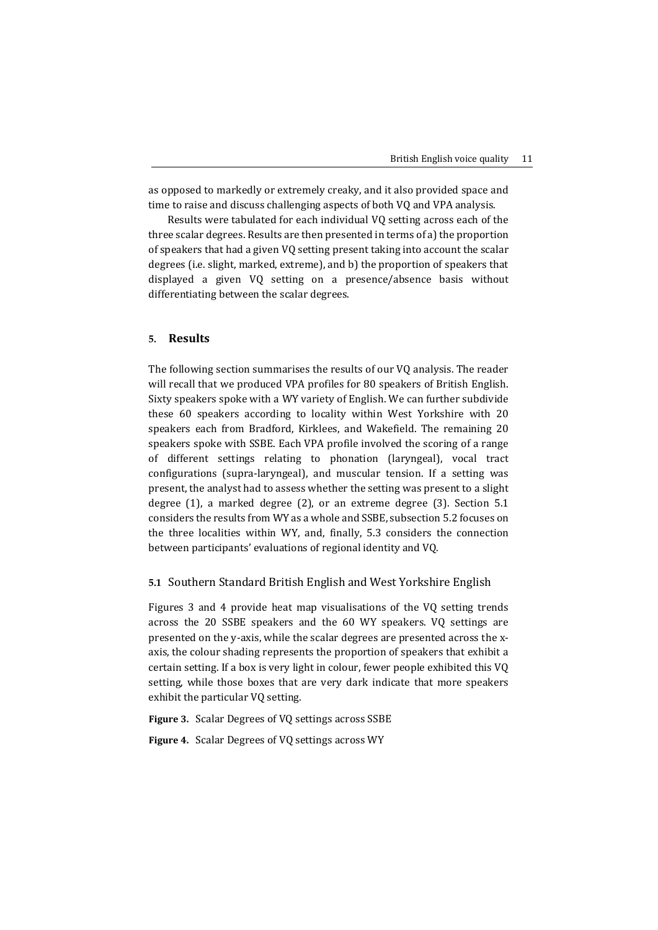as opposed to markedly or extremely creaky, and it also provided space and time to raise and discuss challenging aspects of both VQ and VPA analysis.

Results were tabulated for each individual VQ setting across each of the three scalar degrees. Results are then presented in terms of a) the proportion of speakers that had a given VQ setting present taking into account the scalar degrees (i.e. slight, marked, extreme), and b) the proportion of speakers that displayed a given VQ setting on a presence/absence basis without differentiating between the scalar degrees.

## **5. Results**

The following section summarises the results of our VQ analysis. The reader will recall that we produced VPA profiles for 80 speakers of British English. Sixty speakers spoke with a WY variety of English. We can further subdivide these 60 speakers according to locality within West Yorkshire with 20 speakers each from Bradford, Kirklees, and Wakefield. The remaining 20 speakers spoke with SSBE. Each VPA profile involved the scoring of a range of different settings relating to phonation (laryngeal), vocal tract configurations (supra-laryngeal), and muscular tension. If a setting was present, the analyst had to assess whether the setting was present to a slight degree (1), a marked degree (2), or an extreme degree (3). Section 5.1 considers the results from WY as a whole and SSBE, subsection 5.2 focuses on the three localities within WY, and, finally, 5.3 considers the connection between participants' evaluations of regional identity and VQ.

#### **5.1** Southern Standard British English and West Yorkshire English

Figures 3 and 4 provide heat map visualisations of the VQ setting trends across the 20 SSBE speakers and the 60 WY speakers. VQ settings are presented on the y-axis, while the scalar degrees are presented across the xaxis, the colour shading represents the proportion of speakers that exhibit a certain setting. If a box is very light in colour, fewer people exhibited this VQ setting, while those boxes that are very dark indicate that more speakers exhibit the particular VQ setting.

**Figure 3.** Scalar Degrees of VQ settings across SSBE

**Figure 4.** Scalar Degrees of VQ settings across WY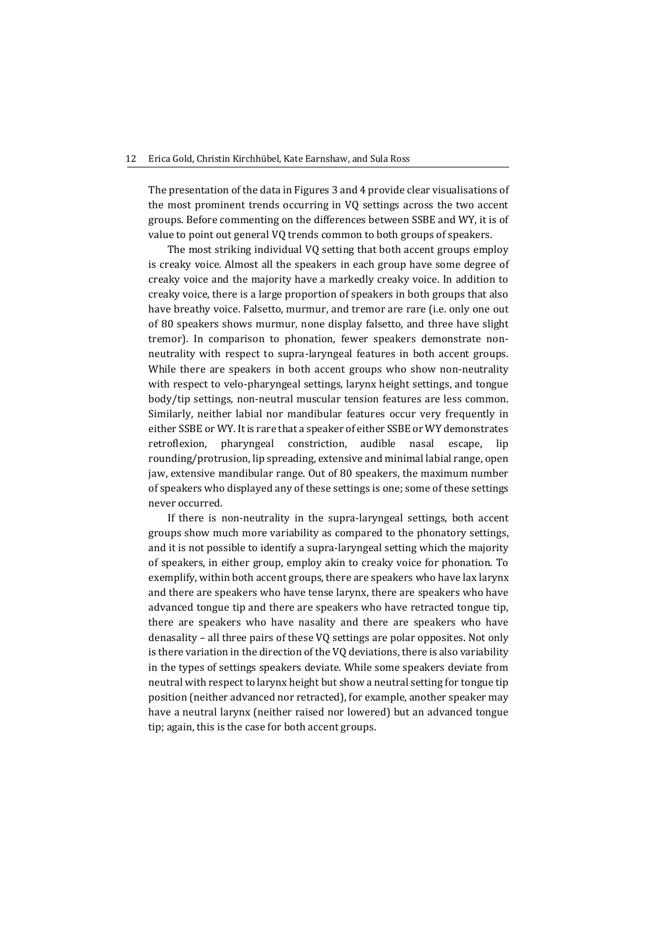#### 12 Erica Gold, Christin Kirchhübel, Kate Earnshaw, and Sula Ross

The presentation of the data in Figures 3 and 4 provide clear visualisations of the most prominent trends occurring in VQ settings across the two accent groups. Before commenting on the differences between SSBE and WY, it is of value to point out general VQ trends common to both groups of speakers.

The most striking individual VQ setting that both accent groups employ is creaky voice. Almost all the speakers in each group have some degree of creaky voice and the majority have a markedly creaky voice. In addition to creaky voice, there is a large proportion of speakers in both groups that also have breathy voice. Falsetto, murmur, and tremor are rare (i.e. only one out of 80 speakers shows murmur, none display falsetto, and three have slight tremor). In comparison to phonation, fewer speakers demonstrate nonneutrality with respect to supra-laryngeal features in both accent groups. While there are speakers in both accent groups who show non-neutrality with respect to velo-pharyngeal settings, larynx height settings, and tongue body/tip settings, non-neutral muscular tension features are less common. Similarly, neither labial nor mandibular features occur very frequently in either SSBE or WY. It is rare that a speaker of either SSBE or WY demonstrates retroflexion, pharyngeal constriction, audible nasal escape, lip rounding/protrusion, lip spreading, extensive and minimal labial range, open jaw, extensive mandibular range. Out of 80 speakers, the maximum number of speakers who displayed any of these settings is one; some of these settings never occurred.

If there is non-neutrality in the supra-laryngeal settings, both accent groups show much more variability as compared to the phonatory settings, and it is not possible to identify a supra-laryngeal setting which the majority of speakers, in either group, employ akin to creaky voice for phonation. To exemplify, within both accent groups, there are speakers who have lax larynx and there are speakers who have tense larynx, there are speakers who have advanced tongue tip and there are speakers who have retracted tongue tip, there are speakers who have nasality and there are speakers who have denasality – all three pairs of these VQ settings are polar opposites. Not only is there variation in the direction of the VQ deviations, there is also variability in the types of settings speakers deviate. While some speakers deviate from neutral with respect to larynx height but show a neutral setting for tongue tip position (neither advanced nor retracted), for example, another speaker may have a neutral larynx (neither raised nor lowered) but an advanced tongue tip; again, this is the case for both accent groups.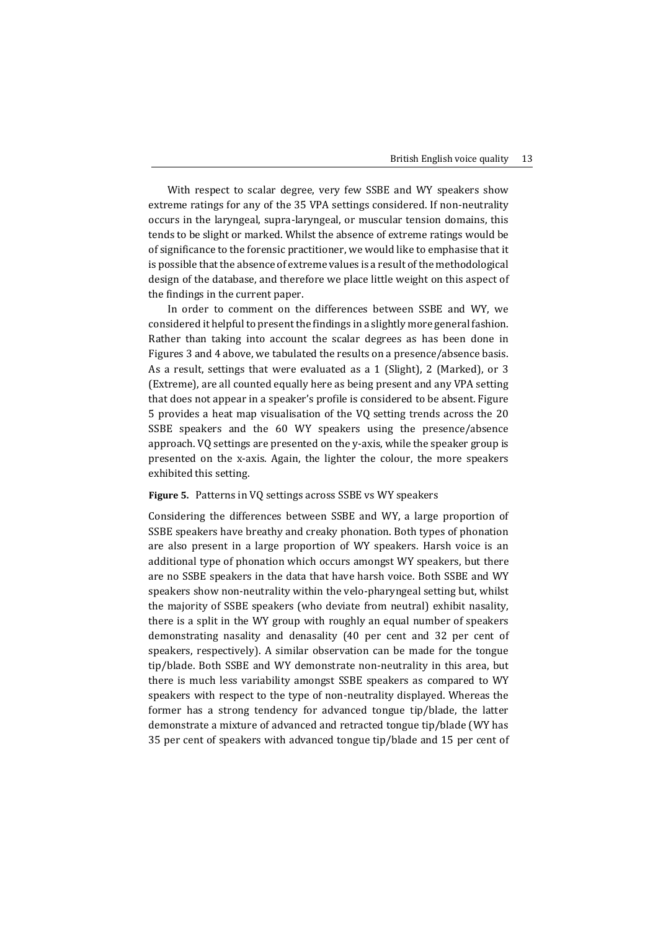With respect to scalar degree, very few SSBE and WY speakers show extreme ratings for any of the 35 VPA settings considered. If non-neutrality occurs in the laryngeal, supra-laryngeal, or muscular tension domains, this tends to be slight or marked. Whilst the absence of extreme ratings would be of significance to the forensic practitioner, we would like to emphasise that it is possible that the absence of extreme values is a result of the methodological design of the database, and therefore we place little weight on this aspect of the findings in the current paper.

In order to comment on the differences between SSBE and WY, we considered it helpful to present the findings in a slightly more general fashion. Rather than taking into account the scalar degrees as has been done in Figures 3 and 4 above, we tabulated the results on a presence/absence basis. As a result, settings that were evaluated as a 1 (Slight), 2 (Marked), or 3 (Extreme), are all counted equally here as being present and any VPA setting that does not appear in a speaker's profile is considered to be absent. Figure 5 provides a heat map visualisation of the VQ setting trends across the 20 SSBE speakers and the 60 WY speakers using the presence/absence approach. VQ settings are presented on the y-axis, while the speaker group is presented on the x-axis. Again, the lighter the colour, the more speakers exhibited this setting.

#### **Figure 5.** Patterns in VQ settings across SSBE vs WY speakers

Considering the differences between SSBE and WY, a large proportion of SSBE speakers have breathy and creaky phonation. Both types of phonation are also present in a large proportion of WY speakers. Harsh voice is an additional type of phonation which occurs amongst WY speakers, but there are no SSBE speakers in the data that have harsh voice. Both SSBE and WY speakers show non-neutrality within the velo-pharyngeal setting but, whilst the majority of SSBE speakers (who deviate from neutral) exhibit nasality, there is a split in the WY group with roughly an equal number of speakers demonstrating nasality and denasality (40 per cent and 32 per cent of speakers, respectively). A similar observation can be made for the tongue tip/blade. Both SSBE and WY demonstrate non-neutrality in this area, but there is much less variability amongst SSBE speakers as compared to WY speakers with respect to the type of non-neutrality displayed. Whereas the former has a strong tendency for advanced tongue tip/blade, the latter demonstrate a mixture of advanced and retracted tongue tip/blade (WY has 35 per cent of speakers with advanced tongue tip/blade and 15 per cent of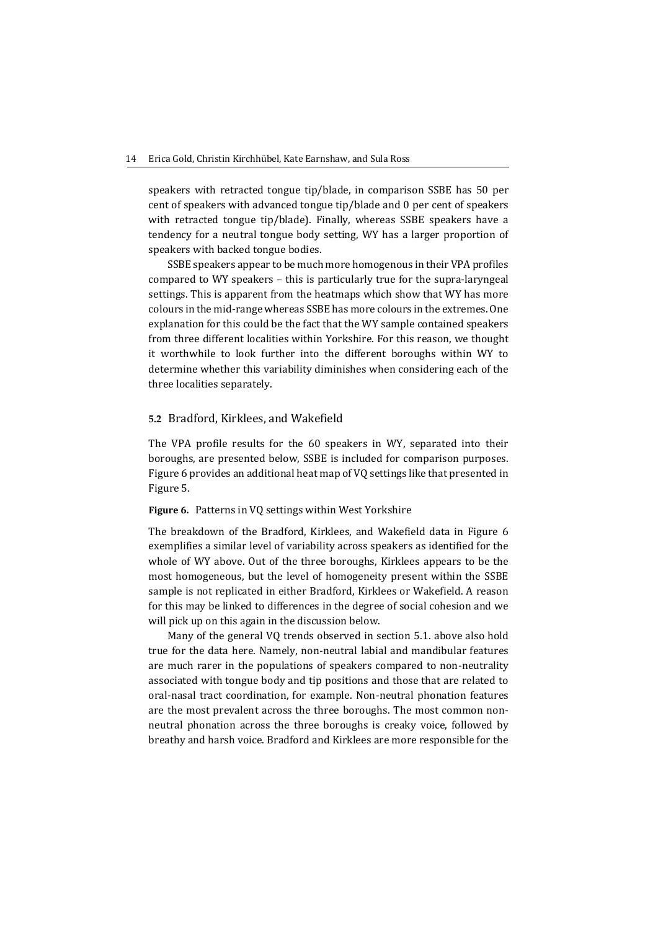speakers with retracted tongue tip/blade, in comparison SSBE has 50 per cent of speakers with advanced tongue tip/blade and 0 per cent of speakers with retracted tongue tip/blade). Finally, whereas SSBE speakers have a tendency for a neutral tongue body setting, WY has a larger proportion of speakers with backed tongue bodies.

SSBE speakers appear to be much more homogenous in their VPA profiles compared to WY speakers – this is particularly true for the supra-laryngeal settings. This is apparent from the heatmaps which show that WY has more colours in the mid-range whereas SSBE has more colours in the extremes. One explanation for this could be the fact that the WY sample contained speakers from three different localities within Yorkshire. For this reason, we thought it worthwhile to look further into the different boroughs within WY to determine whether this variability diminishes when considering each of the three localities separately.

## **5.2** Bradford, Kirklees, and Wakefield

The VPA profile results for the 60 speakers in WY, separated into their boroughs, are presented below, SSBE is included for comparison purposes. Figure 6 provides an additional heat map of VQ settings like that presented in Figure 5.

#### **Figure 6.** Patterns in VQ settings within West Yorkshire

The breakdown of the Bradford, Kirklees, and Wakefield data in Figure 6 exemplifies a similar level of variability across speakers as identified for the whole of WY above. Out of the three boroughs, Kirklees appears to be the most homogeneous, but the level of homogeneity present within the SSBE sample is not replicated in either Bradford, Kirklees or Wakefield. A reason for this may be linked to differences in the degree of social cohesion and we will pick up on this again in the discussion below.

Many of the general VQ trends observed in section 5.1. above also hold true for the data here. Namely, non-neutral labial and mandibular features are much rarer in the populations of speakers compared to non-neutrality associated with tongue body and tip positions and those that are related to oral-nasal tract coordination, for example. Non-neutral phonation features are the most prevalent across the three boroughs. The most common nonneutral phonation across the three boroughs is creaky voice, followed by breathy and harsh voice. Bradford and Kirklees are more responsible for the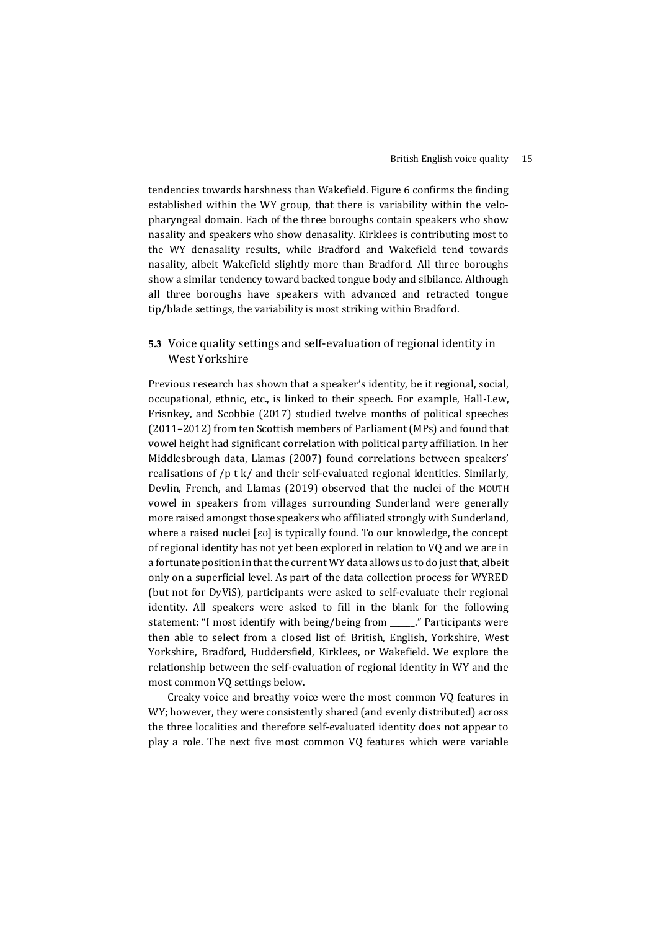tendencies towards harshness than Wakefield. Figure 6 confirms the finding established within the WY group, that there is variability within the velopharyngeal domain. Each of the three boroughs contain speakers who show nasality and speakers who show denasality. Kirklees is contributing most to the WY denasality results, while Bradford and Wakefield tend towards nasality, albeit Wakefield slightly more than Bradford. All three boroughs show a similar tendency toward backed tongue body and sibilance. Although all three boroughs have speakers with advanced and retracted tongue tip/blade settings, the variability is most striking within Bradford.

# **5.3** Voice quality settings and self-evaluation of regional identity in West Yorkshire

Previous research has shown that a speaker's identity, be it regional, social, occupational, ethnic, etc., is linked to their speech. For example, Hall-Lew, Frisnkey, and Scobbie (2017) studied twelve months of political speeches (2011–2012) from ten Scottish members of Parliament (MPs) and found that vowel height had significant correlation with political party affiliation. In her Middlesbrough data, Llamas (2007) found correlations between speakers' realisations of /p t k/ and their self-evaluated regional identities. Similarly, Devlin, French, and Llamas (2019) observed that the nuclei of the MOUTH vowel in speakers from villages surrounding Sunderland were generally more raised amongst those speakers who affiliated strongly with Sunderland, where a raised nuclei [ɛʊ] is typically found. To our knowledge, the concept of regional identity has not yet been explored in relation to VQ and we are in a fortunate position in that the current WY data allows us to do just that, albeit only on a superficial level. As part of the data collection process for WYRED (but not for DyViS), participants were asked to self-evaluate their regional identity. All speakers were asked to fill in the blank for the following statement: "I most identify with being/being from \_\_\_\_\_\_." Participants were then able to select from a closed list of: British, English, Yorkshire, West Yorkshire, Bradford, Huddersfield, Kirklees, or Wakefield. We explore the relationship between the self-evaluation of regional identity in WY and the most common VQ settings below.

Creaky voice and breathy voice were the most common VQ features in WY; however, they were consistently shared (and evenly distributed) across the three localities and therefore self-evaluated identity does not appear to play a role. The next five most common VQ features which were variable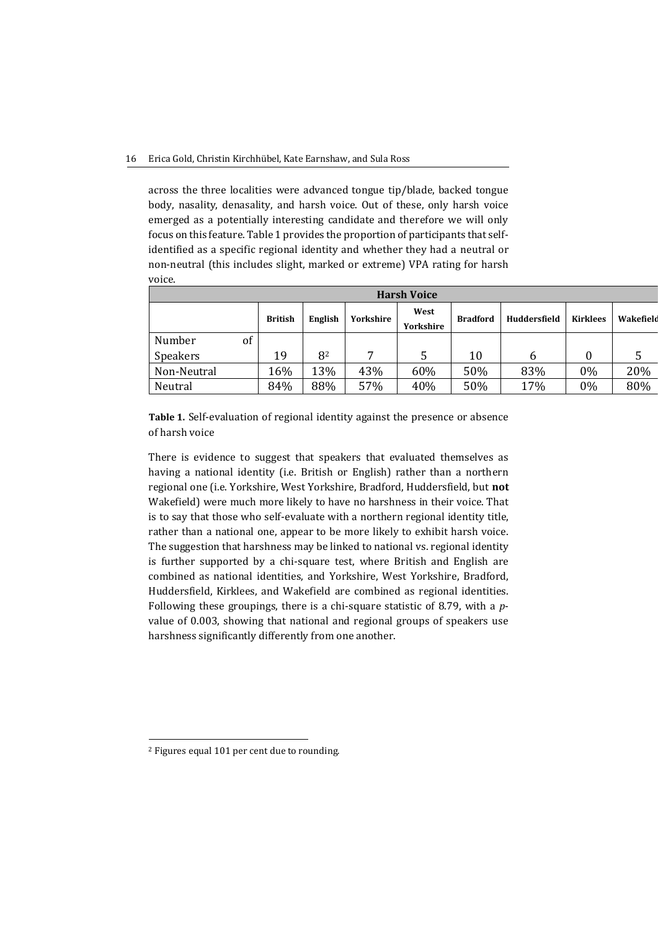#### 16 Erica Gold, Christin Kirchhübel, Kate Earnshaw, and Sula Ross

across the three localities were advanced tongue tip/blade, backed tongue body, nasality, denasality, and harsh voice. Out of these, only harsh voice emerged as a potentially interesting candidate and therefore we will only focus on this feature. Table 1 provides the proportion of participants that selfidentified as a specific regional identity and whether they had a neutral or non-neutral (this includes slight, marked or extreme) VPA rating for harsh voice.

| <b>Harsh Voice</b> |    |                |         |           |                   |                 |              |                 |           |
|--------------------|----|----------------|---------|-----------|-------------------|-----------------|--------------|-----------------|-----------|
|                    |    | <b>British</b> | English | Yorkshire | West<br>Yorkshire | <b>Bradford</b> | Huddersfield | <b>Kirklees</b> | Wakefield |
| Number             | of |                |         |           |                   |                 |              |                 |           |
| Speakers           |    | 19             | 82      | ⇁         | 5                 | 10              | 6            |                 | 5         |
| Non-Neutral        |    | 16%            | 13%     | 43%       | 60%               | 50%             | 83%          | $0\%$           | 20%       |
| Neutral            |    | 84%            | 88%     | 57%       | 40%               | 50%             | 17%          | $0\%$           | 80%       |

**Table 1.** Self-evaluation of regional identity against the presence or absence of harsh voice

There is evidence to suggest that speakers that evaluated themselves as having a national identity (i.e. British or English) rather than a northern regional one (i.e. Yorkshire, West Yorkshire, Bradford, Huddersfield, but **not** Wakefield) were much more likely to have no harshness in their voice. That is to say that those who self-evaluate with a northern regional identity title, rather than a national one, appear to be more likely to exhibit harsh voice. The suggestion that harshness may be linked to national vs. regional identity is further supported by a chi-square test, where British and English are combined as national identities, and Yorkshire, West Yorkshire, Bradford, Huddersfield, Kirklees, and Wakefield are combined as regional identities. Following these groupings, there is a chi-square statistic of 8.79, with a *p*value of 0.003, showing that national and regional groups of speakers use harshness significantly differently from one another.

1

<sup>2</sup> Figures equal 101 per cent due to rounding.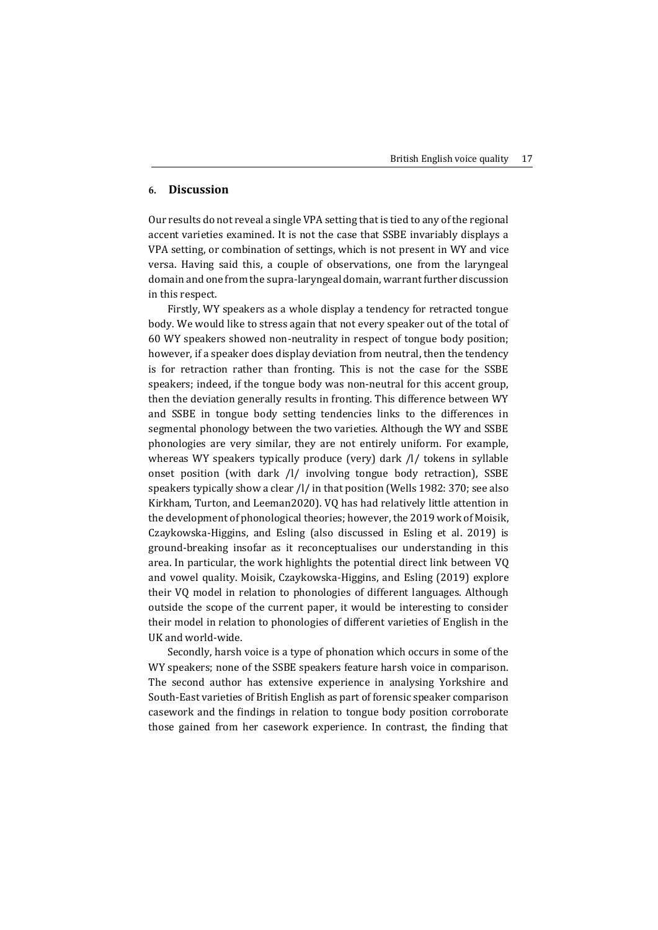## **6. Discussion**

Our results do not reveal a single VPA setting that is tied to any of the regional accent varieties examined. It is not the case that SSBE invariably displays a VPA setting, or combination of settings, which is not present in WY and vice versa. Having said this, a couple of observations, one from the laryngeal domain and one from the supra-laryngeal domain, warrant further discussion in this respect.

Firstly, WY speakers as a whole display a tendency for retracted tongue body. We would like to stress again that not every speaker out of the total of 60 WY speakers showed non-neutrality in respect of tongue body position; however, if a speaker does display deviation from neutral, then the tendency is for retraction rather than fronting. This is not the case for the SSBE speakers; indeed, if the tongue body was non-neutral for this accent group, then the deviation generally results in fronting. This difference between WY and SSBE in tongue body setting tendencies links to the differences in segmental phonology between the two varieties. Although the WY and SSBE phonologies are very similar, they are not entirely uniform. For example, whereas WY speakers typically produce (very) dark /l/ tokens in syllable onset position (with dark /l/ involving tongue body retraction), SSBE speakers typically show a clear /l/ in that position (Wells 1982: 370; see also Kirkham, Turton, and Leeman2020). VQ has had relatively little attention in the development of phonological theories; however, the 2019 work of Moisik, Czaykowska-Higgins, and Esling (also discussed in Esling et al. 2019) is ground-breaking insofar as it reconceptualises our understanding in this area. In particular, the work highlights the potential direct link between VQ and vowel quality. Moisik, Czaykowska-Higgins, and Esling (2019) explore their VQ model in relation to phonologies of different languages. Although outside the scope of the current paper, it would be interesting to consider their model in relation to phonologies of different varieties of English in the UK and world-wide.

Secondly, harsh voice is a type of phonation which occurs in some of the WY speakers; none of the SSBE speakers feature harsh voice in comparison. The second author has extensive experience in analysing Yorkshire and South-East varieties of British English as part of forensic speaker comparison casework and the findings in relation to tongue body position corroborate those gained from her casework experience. In contrast, the finding that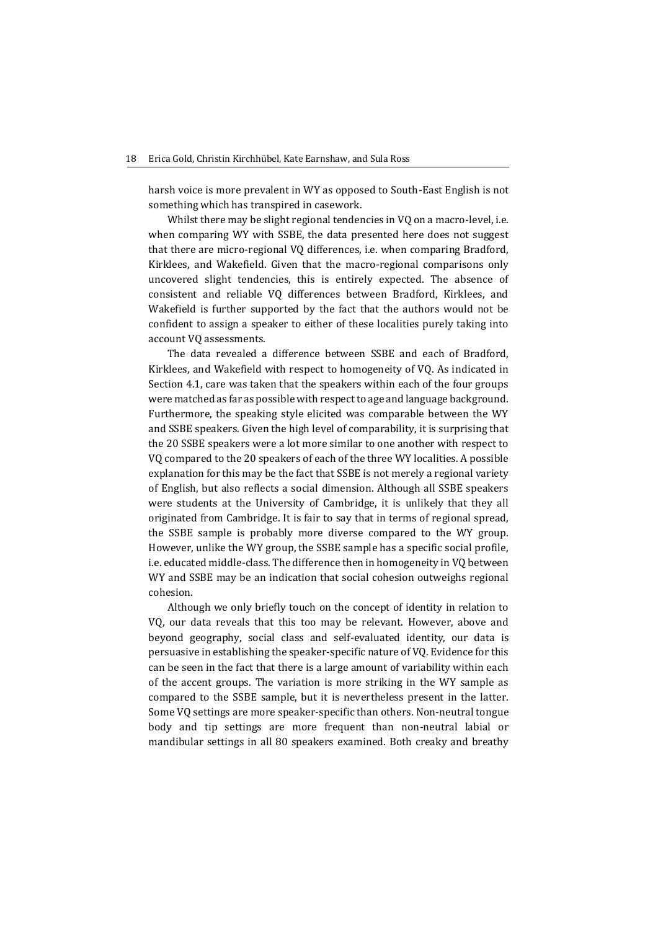harsh voice is more prevalent in WY as opposed to South-East English is not something which has transpired in casework.

Whilst there may be slight regional tendencies in VQ on a macro-level, i.e. when comparing WY with SSBE, the data presented here does not suggest that there are micro-regional VQ differences, i.e. when comparing Bradford, Kirklees, and Wakefield. Given that the macro-regional comparisons only uncovered slight tendencies, this is entirely expected. The absence of consistent and reliable VQ differences between Bradford, Kirklees, and Wakefield is further supported by the fact that the authors would not be confident to assign a speaker to either of these localities purely taking into account VQ assessments.

The data revealed a difference between SSBE and each of Bradford, Kirklees, and Wakefield with respect to homogeneity of VQ. As indicated in Section 4.1, care was taken that the speakers within each of the four groups were matched as far as possible with respect to age and language background. Furthermore, the speaking style elicited was comparable between the WY and SSBE speakers. Given the high level of comparability, it is surprising that the 20 SSBE speakers were a lot more similar to one another with respect to VQ compared to the 20 speakers of each of the three WY localities. A possible explanation for this may be the fact that SSBE is not merely a regional variety of English, but also reflects a social dimension. Although all SSBE speakers were students at the University of Cambridge, it is unlikely that they all originated from Cambridge. It is fair to say that in terms of regional spread, the SSBE sample is probably more diverse compared to the WY group. However, unlike the WY group, the SSBE sample has a specific social profile, i.e. educated middle-class. The difference then in homogeneity in VQ between WY and SSBE may be an indication that social cohesion outweighs regional cohesion.

Although we only briefly touch on the concept of identity in relation to VQ, our data reveals that this too may be relevant. However, above and beyond geography, social class and self-evaluated identity, our data is persuasive in establishing the speaker-specific nature of VQ. Evidence for this can be seen in the fact that there is a large amount of variability within each of the accent groups. The variation is more striking in the WY sample as compared to the SSBE sample, but it is nevertheless present in the latter. Some VQ settings are more speaker-specific than others. Non-neutral tongue body and tip settings are more frequent than non-neutral labial or mandibular settings in all 80 speakers examined. Both creaky and breathy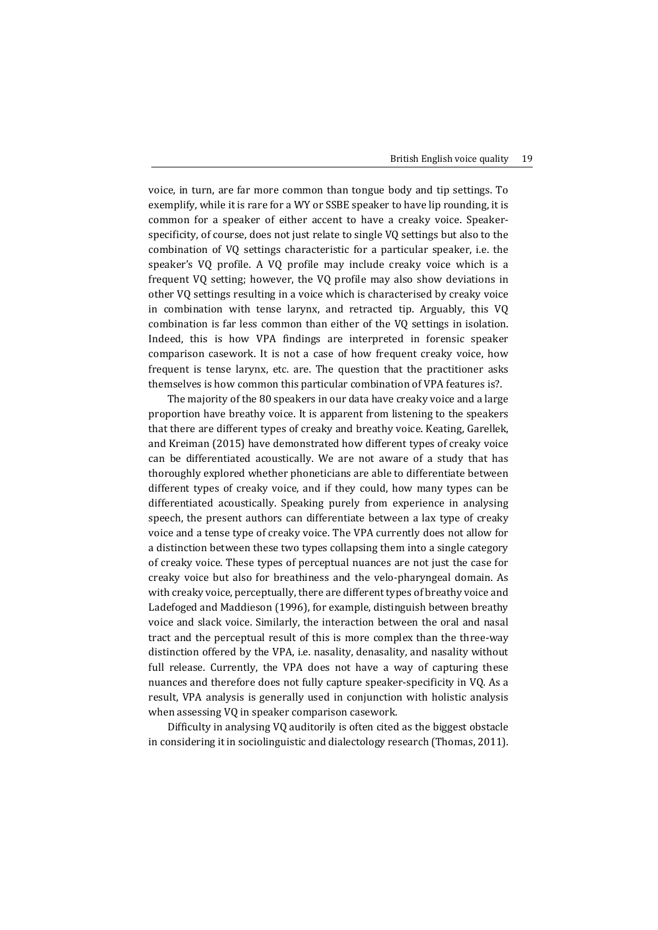voice, in turn, are far more common than tongue body and tip settings. To exemplify, while it is rare for a WY or SSBE speaker to have lip rounding, it is common for a speaker of either accent to have a creaky voice. Speakerspecificity, of course, does not just relate to single VQ settings but also to the combination of VQ settings characteristic for a particular speaker, i.e. the speaker's VQ profile. A VQ profile may include creaky voice which is a frequent VQ setting; however, the VQ profile may also show deviations in other VQ settings resulting in a voice which is characterised by creaky voice in combination with tense larynx, and retracted tip. Arguably, this VQ combination is far less common than either of the VQ settings in isolation. Indeed, this is how VPA findings are interpreted in forensic speaker comparison casework. It is not a case of how frequent creaky voice, how frequent is tense larynx, etc. are. The question that the practitioner asks themselves is how common this particular combination of VPA features is?.

The majority of the 80 speakers in our data have creaky voice and a large proportion have breathy voice. It is apparent from listening to the speakers that there are different types of creaky and breathy voice. Keating, Garellek, and Kreiman (2015) have demonstrated how different types of creaky voice can be differentiated acoustically. We are not aware of a study that has thoroughly explored whether phoneticians are able to differentiate between different types of creaky voice, and if they could, how many types can be differentiated acoustically. Speaking purely from experience in analysing speech, the present authors can differentiate between a lax type of creaky voice and a tense type of creaky voice. The VPA currently does not allow for a distinction between these two types collapsing them into a single category of creaky voice. These types of perceptual nuances are not just the case for creaky voice but also for breathiness and the velo-pharyngeal domain. As with creaky voice, perceptually, there are different types of breathy voice and Ladefoged and Maddieson (1996), for example, distinguish between breathy voice and slack voice. Similarly, the interaction between the oral and nasal tract and the perceptual result of this is more complex than the three-way distinction offered by the VPA, i.e. nasality, denasality, and nasality without full release. Currently, the VPA does not have a way of capturing these nuances and therefore does not fully capture speaker-specificity in VQ. As a result, VPA analysis is generally used in conjunction with holistic analysis when assessing VQ in speaker comparison casework.

Difficulty in analysing VQ auditorily is often cited as the biggest obstacle in considering it in sociolinguistic and dialectology research (Thomas, 2011).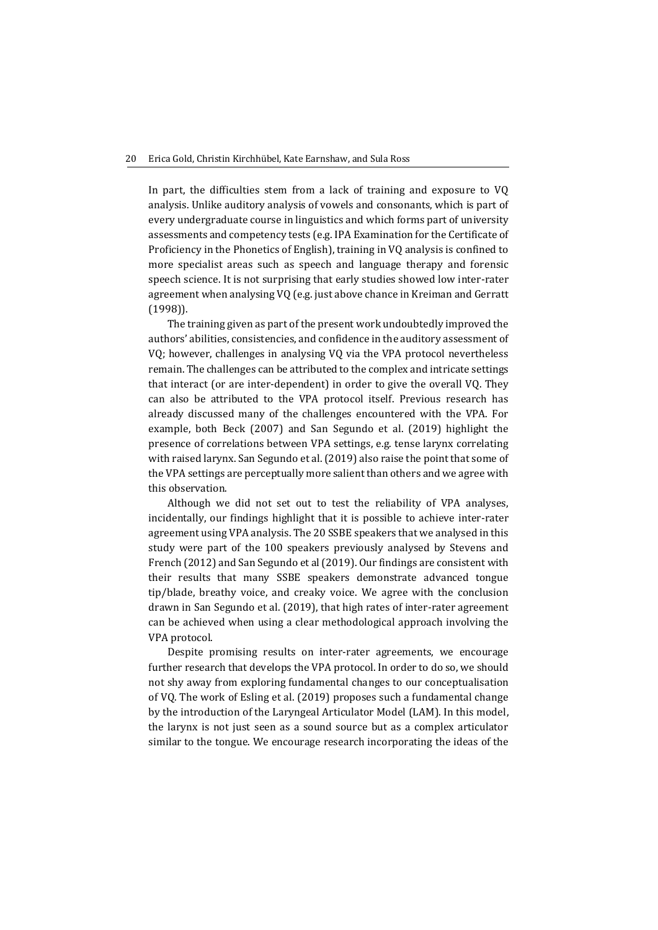In part, the difficulties stem from a lack of training and exposure to VQ analysis. Unlike auditory analysis of vowels and consonants, which is part of every undergraduate course in linguistics and which forms part of university assessments and competency tests (e.g. IPA Examination for the Certificate of Proficiency in the Phonetics of English), training in VQ analysis is confined to more specialist areas such as speech and language therapy and forensic speech science. It is not surprising that early studies showed low inter-rater agreement when analysing VQ (e.g. just above chance in Kreiman and Gerratt (1998)).

The training given as part of the present work undoubtedly improved the authors' abilities, consistencies, and confidence in the auditory assessment of VQ; however, challenges in analysing VQ via the VPA protocol nevertheless remain. The challenges can be attributed to the complex and intricate settings that interact (or are inter-dependent) in order to give the overall VQ. They can also be attributed to the VPA protocol itself. Previous research has already discussed many of the challenges encountered with the VPA. For example, both Beck (2007) and San Segundo et al. (2019) highlight the presence of correlations between VPA settings, e.g. tense larynx correlating with raised larynx. San Segundo et al. (2019) also raise the point that some of the VPA settings are perceptually more salient than others and we agree with this observation.

Although we did not set out to test the reliability of VPA analyses, incidentally, our findings highlight that it is possible to achieve inter-rater agreement using VPA analysis. The 20 SSBE speakers that we analysed in this study were part of the 100 speakers previously analysed by Stevens and French (2012) and San Segundo et al (2019). Our findings are consistent with their results that many SSBE speakers demonstrate advanced tongue tip/blade, breathy voice, and creaky voice. We agree with the conclusion drawn in San Segundo et al. (2019), that high rates of inter-rater agreement can be achieved when using a clear methodological approach involving the VPA protocol.

Despite promising results on inter-rater agreements, we encourage further research that develops the VPA protocol. In order to do so, we should not shy away from exploring fundamental changes to our conceptualisation of VQ. The work of Esling et al. (2019) proposes such a fundamental change by the introduction of the Laryngeal Articulator Model (LAM). In this model, the larynx is not just seen as a sound source but as a complex articulator similar to the tongue. We encourage research incorporating the ideas of the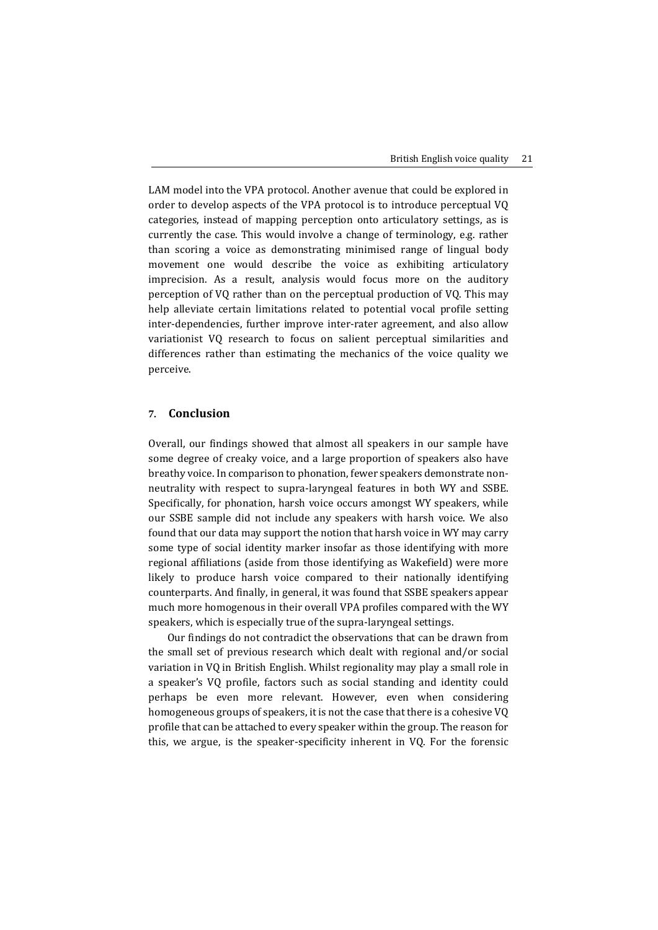LAM model into the VPA protocol. Another avenue that could be explored in order to develop aspects of the VPA protocol is to introduce perceptual VQ categories, instead of mapping perception onto articulatory settings, as is currently the case. This would involve a change of terminology, e.g. rather than scoring a voice as demonstrating minimised range of lingual body movement one would describe the voice as exhibiting articulatory imprecision. As a result, analysis would focus more on the auditory perception of VQ rather than on the perceptual production of VQ. This may help alleviate certain limitations related to potential vocal profile setting inter-dependencies, further improve inter-rater agreement, and also allow variationist VQ research to focus on salient perceptual similarities and differences rather than estimating the mechanics of the voice quality we perceive.

# **7. Conclusion**

Overall, our findings showed that almost all speakers in our sample have some degree of creaky voice, and a large proportion of speakers also have breathy voice. In comparison to phonation, fewer speakers demonstrate nonneutrality with respect to supra-laryngeal features in both WY and SSBE. Specifically, for phonation, harsh voice occurs amongst WY speakers, while our SSBE sample did not include any speakers with harsh voice. We also found that our data may support the notion that harsh voice in WY may carry some type of social identity marker insofar as those identifying with more regional affiliations (aside from those identifying as Wakefield) were more likely to produce harsh voice compared to their nationally identifying counterparts. And finally, in general, it was found that SSBE speakers appear much more homogenous in their overall VPA profiles compared with the WY speakers, which is especially true of the supra-laryngeal settings.

Our findings do not contradict the observations that can be drawn from the small set of previous research which dealt with regional and/or social variation in VQ in British English. Whilst regionality may play a small role in a speaker's VQ profile, factors such as social standing and identity could perhaps be even more relevant. However, even when considering homogeneous groups of speakers, it is not the case that there is a cohesive VQ profile that can be attached to every speaker within the group. The reason for this, we argue, is the speaker-specificity inherent in VQ. For the forensic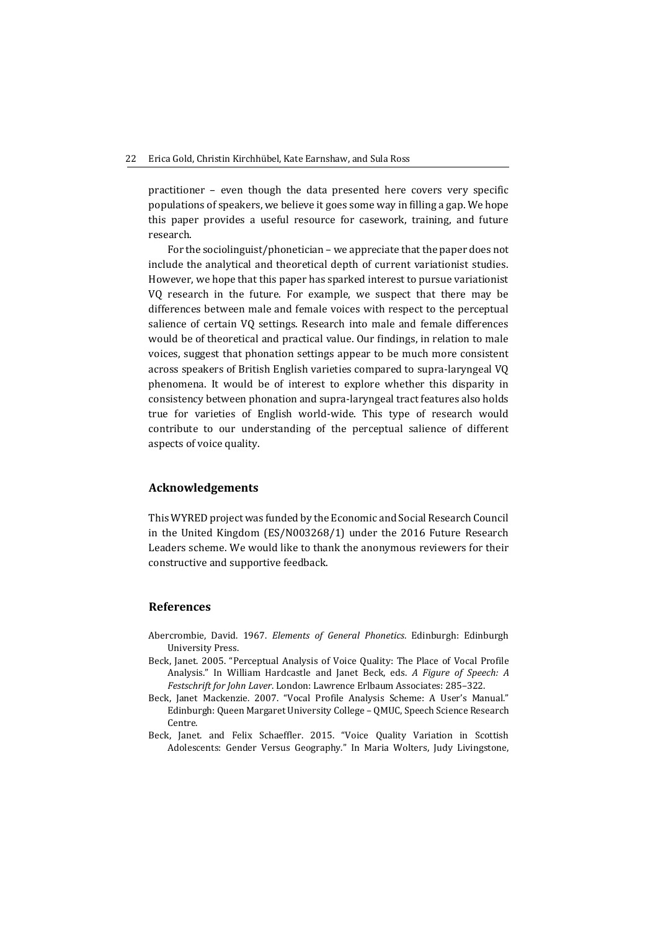practitioner – even though the data presented here covers very specific populations of speakers, we believe it goes some way in filling a gap. We hope this paper provides a useful resource for casework, training, and future research.

For the sociolinguist/phonetician – we appreciate that the paper does not include the analytical and theoretical depth of current variationist studies. However, we hope that this paper has sparked interest to pursue variationist VQ research in the future. For example, we suspect that there may be differences between male and female voices with respect to the perceptual salience of certain VQ settings. Research into male and female differences would be of theoretical and practical value. Our findings, in relation to male voices, suggest that phonation settings appear to be much more consistent across speakers of British English varieties compared to supra-laryngeal VQ phenomena. It would be of interest to explore whether this disparity in consistency between phonation and supra-laryngeal tract features also holds true for varieties of English world-wide. This type of research would contribute to our understanding of the perceptual salience of different aspects of voice quality.

#### **Acknowledgements**

This WYRED project was funded by the Economic and Social Research Council in the United Kingdom (ES/N003268/1) under the 2016 Future Research Leaders scheme. We would like to thank the anonymous reviewers for their constructive and supportive feedback.

#### **References**

- Abercrombie, David. 1967. *Elements of General Phonetics*. Edinburgh: Edinburgh University Press.
- Beck, Janet. 2005. "Perceptual Analysis of Voice Quality: The Place of Vocal Profile Analysis." In William Hardcastle and Janet Beck, eds. *A Figure of Speech: A Festschrift for John Laver*. London: Lawrence Erlbaum Associates: 285–322.
- Beck, Janet Mackenzie. 2007. "Vocal Profile Analysis Scheme: A User's Manual." Edinburgh: Queen Margaret University College – QMUC, Speech Science Research Centre.
- Beck, Janet. and Felix Schaeffler. 2015. "Voice Quality Variation in Scottish Adolescents: Gender Versus Geography." In Maria Wolters, Judy Livingstone,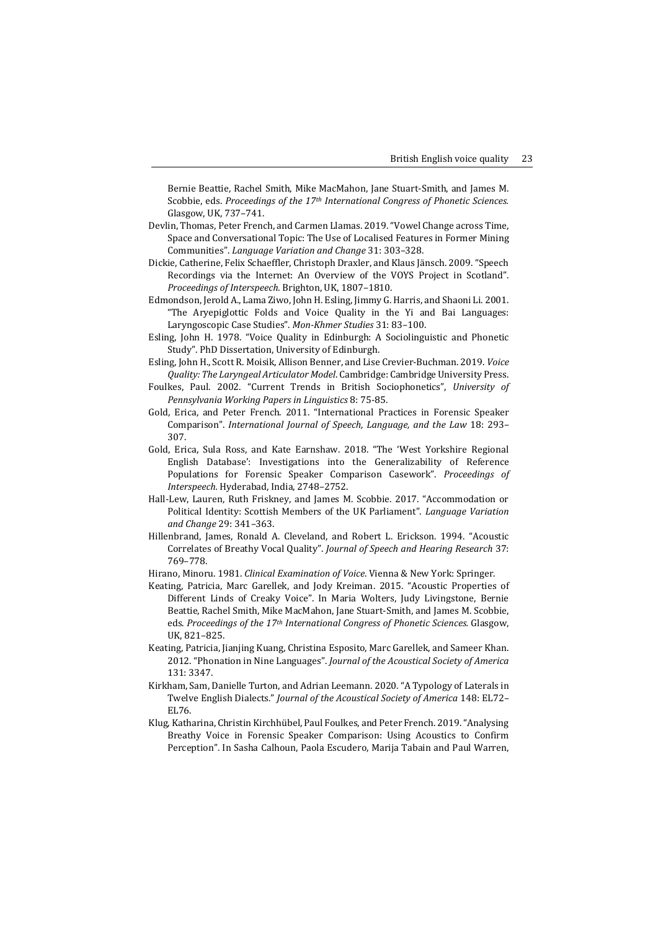Bernie Beattie, Rachel Smith, Mike MacMahon, Jane Stuart-Smith, and James M. Scobbie, eds. *Proceedings of the 17th International Congress of Phonetic Sciences.* Glasgow, UK, 737–741.

- Devlin, Thomas, Peter French, and Carmen Llamas. 2019. "Vowel Change across Time, Space and Conversational Topic: The Use of Localised Features in Former Mining Communities". *Language Variation and Change* 31: 303–328.
- Dickie, Catherine, Felix Schaeffler, Christoph Draxler, and Klaus Jänsch. 2009. "Speech Recordings via the Internet: An Overview of the VOYS Project in Scotland". *Proceedings of Interspeech.* Brighton, UK, 1807–1810.
- Edmondson, Jerold A., Lama Ziwo, John H. Esling, Jimmy G. Harris, and Shaoni Li. 2001. "The Aryepiglottic Folds and Voice Quality in the Yi and Bai Languages: Laryngoscopic Case Studies". *Mon-Khmer Studies* 31: 83–100.
- Esling, John H. 1978. "Voice Quality in Edinburgh: A Sociolinguistic and Phonetic Study". PhD Dissertation, University of Edinburgh.
- Esling, John H., Scott R. Moisik, Allison Benner, and Lise Crevier-Buchman. 2019. *Voice Quality: The Laryngeal Articulator Model*. Cambridge: Cambridge University Press.
- Foulkes, Paul. 2002. "Current Trends in British Sociophonetics", *University of Pennsylvania Working Papers in Linguistics* 8: 75-85.
- Gold, Erica, and Peter French. 2011. "International Practices in Forensic Speaker Comparison". *International Journal of Speech, Language, and the Law* 18: 293– 307.
- Gold, Erica, Sula Ross, and Kate Earnshaw. 2018. "The 'West Yorkshire Regional English Database': Investigations into the Generalizability of Reference Populations for Forensic Speaker Comparison Casework". *Proceedings of Interspeech.* Hyderabad, India, 2748–2752.
- Hall-Lew, Lauren, Ruth Friskney, and James M. Scobbie. 2017. "Accommodation or Political Identity: Scottish Members of the UK Parliament". *Language Variation and Change* 29: 341–363.
- Hillenbrand, James, Ronald A. Cleveland, and Robert L. Erickson. 1994. "Acoustic Correlates of Breathy Vocal Quality". *Journal of Speech and Hearing Research* 37: 769–778.
- Hirano, Minoru. 1981. *Clinical Examination of Voice*. Vienna & New York: Springer.
- Keating, Patricia, Marc Garellek, and Jody Kreiman. 2015. "Acoustic Properties of Different Linds of Creaky Voice". In Maria Wolters, Judy Livingstone, Bernie Beattie, Rachel Smith, Mike MacMahon, Jane Stuart-Smith, and James M. Scobbie, eds. *Proceedings of the 17th International Congress of Phonetic Sciences.* Glasgow, UK, 821–825.
- Keating, Patricia, Jianjing Kuang, Christina Esposito, Marc Garellek, and Sameer Khan. 2012. "Phonation in Nine Languages". *Journal of the Acoustical Society of America* 131: 3347.
- Kirkham, Sam, Danielle Turton, and Adrian Leemann. 2020. "A Typology of Laterals in Twelve English Dialects." *Journal of the Acoustical Society of America* 148: EL72– EL76.
- Klug, Katharina, Christin Kirchhübel, Paul Foulkes, and Peter French. 2019. "Analysing Breathy Voice in Forensic Speaker Comparison: Using Acoustics to Confirm Perception". In Sasha Calhoun, Paola Escudero, Marija Tabain and Paul Warren,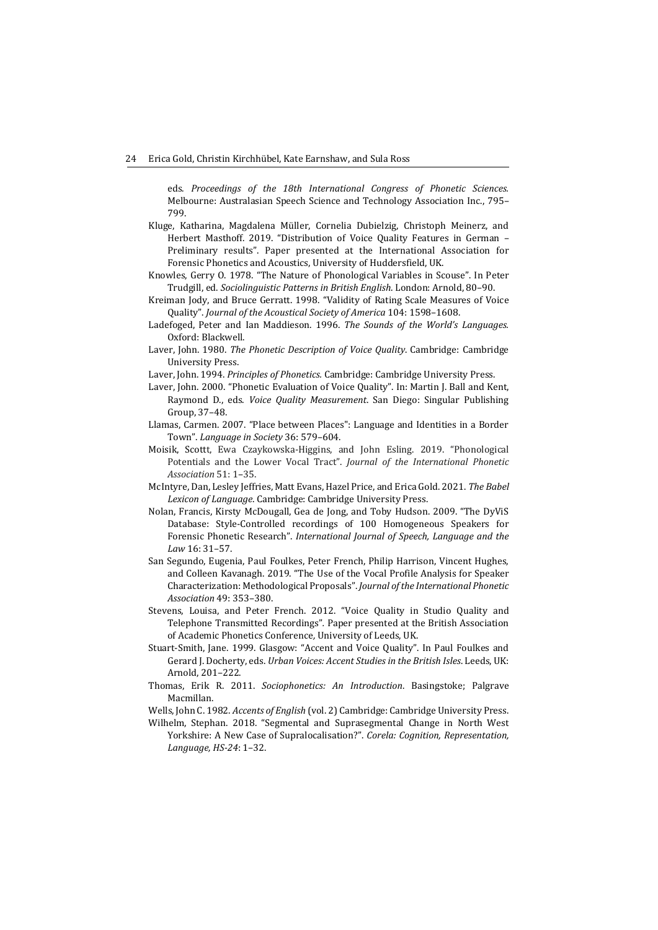eds. *Proceedings of the 18th International Congress of Phonetic Sciences.*  Melbourne: Australasian Speech Science and Technology Association Inc., 795– 799.

- Kluge, Katharina, Magdalena Müller, Cornelia Dubielzig, Christoph Meinerz, and Herbert Masthoff. 2019. "Distribution of Voice Quality Features in German – Preliminary results". Paper presented at the International Association for Forensic Phonetics and Acoustics, University of Huddersfield, UK.
- Knowles, Gerry O. 1978. "The Nature of Phonological Variables in Scouse". In Peter Trudgill, ed. *Sociolinguistic Patterns in British English*. London: Arnold, 80–90.
- Kreiman Jody, and Bruce Gerratt. 1998. "Validity of Rating Scale Measures of Voice Quality". *Journal of the Acoustical Society of America* 104: 1598–1608.
- Ladefoged, Peter and Ian Maddieson. 1996. *The Sounds of the World's Languages.* Oxford: Blackwell.
- Laver, John. 1980. *The Phonetic Description of Voice Quality*. Cambridge: Cambridge University Press.

Laver, John. 1994. *Principles of Phonetics.* Cambridge: Cambridge University Press.

- Laver, John. 2000. "Phonetic Evaluation of Voice Quality". In: Martin J. Ball and Kent, Raymond D., eds. *Voice Quality Measurement*. San Diego: Singular Publishing Group, 37–48.
- Llamas, Carmen. 2007. "Place between Places": Language and Identities in a Border Town". *Language in Society* 36: 579–604.
- Moisik, Scottt, Ewa Czaykowska-Higgins, and John Esling. 2019. "Phonological Potentials and the Lower Vocal Tract". *Journal of the International Phonetic Association* 51: 1–35.
- McIntyre, Dan, Lesley Jeffries, Matt Evans, Hazel Price, and Erica Gold. 2021. *The Babel Lexicon of Language*. Cambridge: Cambridge University Press.
- Nolan, Francis, Kirsty McDougall, Gea de Jong, and Toby Hudson. 2009. "The DyViS Database: Style-Controlled recordings of 100 Homogeneous Speakers for Forensic Phonetic Research". *International Journal of Speech, Language and the Law* 16: 31–57.
- San Segundo, Eugenia, Paul Foulkes, Peter French, Philip Harrison, Vincent Hughes, and Colleen Kavanagh. 2019. "The Use of the Vocal Profile Analysis for Speaker Characterization: Methodological Proposals". *Journal of the International Phonetic Association* 49: 353–380.
- Stevens, Louisa, and Peter French. 2012. "Voice Quality in Studio Quality and Telephone Transmitted Recordings"*.* Paper presented at the British Association of Academic Phonetics Conference*,* University of Leeds, UK.
- Stuart-Smith, Jane. 1999. Glasgow: "Accent and Voice Quality". In Paul Foulkes and Gerard J. Docherty, eds. *Urban Voices: Accent Studies in the British Isles*. Leeds, UK: Arnold, 201–222.
- Thomas, Erik R. 2011. *Sociophonetics: An Introduction*. Basingstoke; Palgrave Macmillan.

Wells, John C. 1982. *Accents of English* (vol. 2) Cambridge: Cambridge University Press.

Wilhelm, Stephan. 2018. "Segmental and Suprasegmental Change in North West Yorkshire: A New Case of Supralocalisation?". *Corela: Cognition, Representation, Language, HS-24*: 1–32.